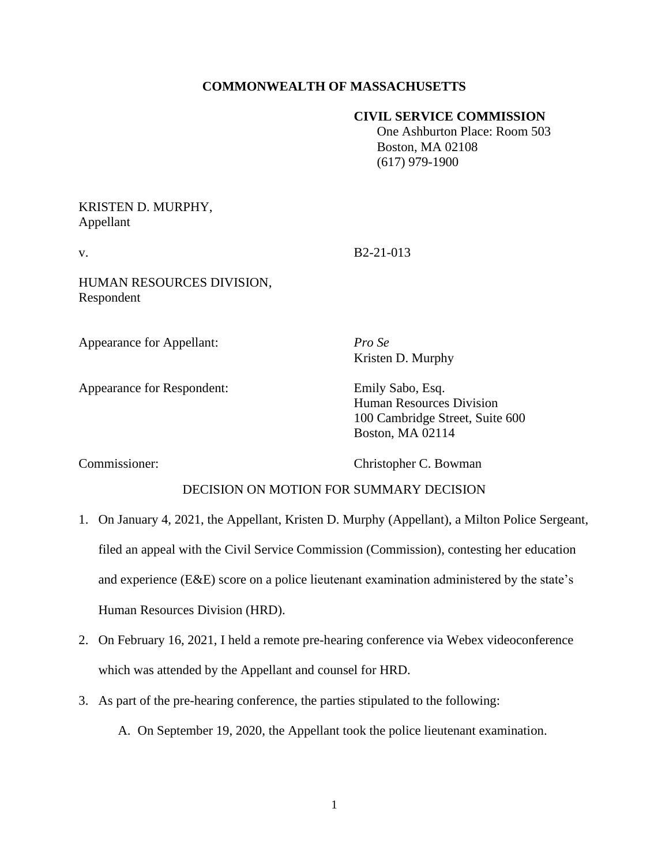# **COMMONWEALTH OF MASSACHUSETTS**

## **CIVIL SERVICE COMMISSION**

 One Ashburton Place: Room 503 Boston, MA 02108 (617) 979-1900

## KRISTEN D. MURPHY, Appellant

v. B2-21-013

HUMAN RESOURCES DIVISION, Respondent

Appearance for Appellant: *Pro Se*

Kristen D. Murphy

Appearance for Respondent: Emily Sabo, Esq.

Human Resources Division 100 Cambridge Street, Suite 600 Boston, MA 02114

Commissioner: Christopher C. Bowman

## DECISION ON MOTION FOR SUMMARY DECISION

- 1. On January 4, 2021, the Appellant, Kristen D. Murphy (Appellant), a Milton Police Sergeant, filed an appeal with the Civil Service Commission (Commission), contesting her education and experience (E&E) score on a police lieutenant examination administered by the state's Human Resources Division (HRD).
- 2. On February 16, 2021, I held a remote pre-hearing conference via Webex videoconference which was attended by the Appellant and counsel for HRD.
- 3. As part of the pre-hearing conference, the parties stipulated to the following:
	- A. On September 19, 2020, the Appellant took the police lieutenant examination.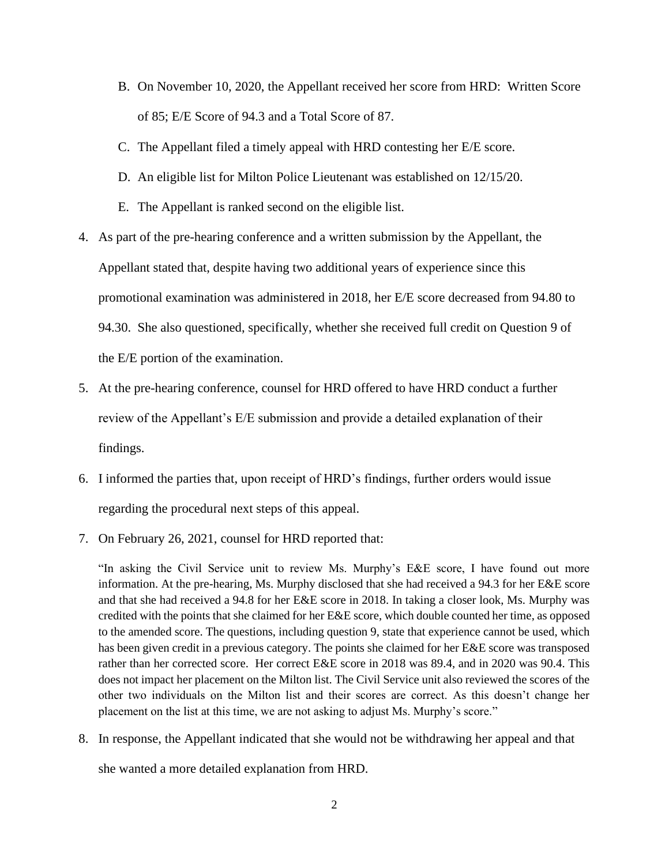- B. On November 10, 2020, the Appellant received her score from HRD: Written Score of 85; E/E Score of 94.3 and a Total Score of 87.
- C. The Appellant filed a timely appeal with HRD contesting her E/E score.
- D. An eligible list for Milton Police Lieutenant was established on 12/15/20.
- E. The Appellant is ranked second on the eligible list.
- 4. As part of the pre-hearing conference and a written submission by the Appellant, the Appellant stated that, despite having two additional years of experience since this promotional examination was administered in 2018, her E/E score decreased from 94.80 to 94.30. She also questioned, specifically, whether she received full credit on Question 9 of the E/E portion of the examination.
- 5. At the pre-hearing conference, counsel for HRD offered to have HRD conduct a further review of the Appellant's E/E submission and provide a detailed explanation of their findings.
- 6. I informed the parties that, upon receipt of HRD's findings, further orders would issue regarding the procedural next steps of this appeal.
- 7. On February 26, 2021, counsel for HRD reported that:

"In asking the Civil Service unit to review Ms. Murphy's E&E score, I have found out more information. At the pre-hearing, Ms. Murphy disclosed that she had received a 94.3 for her E&E score and that she had received a 94.8 for her E&E score in 2018. In taking a closer look, Ms. Murphy was credited with the points that she claimed for her E&E score, which double counted her time, as opposed to the amended score. The questions, including question 9, state that experience cannot be used, which has been given credit in a previous category. The points she claimed for her E&E score was transposed rather than her corrected score. Her correct E&E score in 2018 was 89.4, and in 2020 was 90.4. This does not impact her placement on the Milton list. The Civil Service unit also reviewed the scores of the other two individuals on the Milton list and their scores are correct. As this doesn't change her placement on the list at this time, we are not asking to adjust Ms. Murphy's score."

8. In response, the Appellant indicated that she would not be withdrawing her appeal and that she wanted a more detailed explanation from HRD.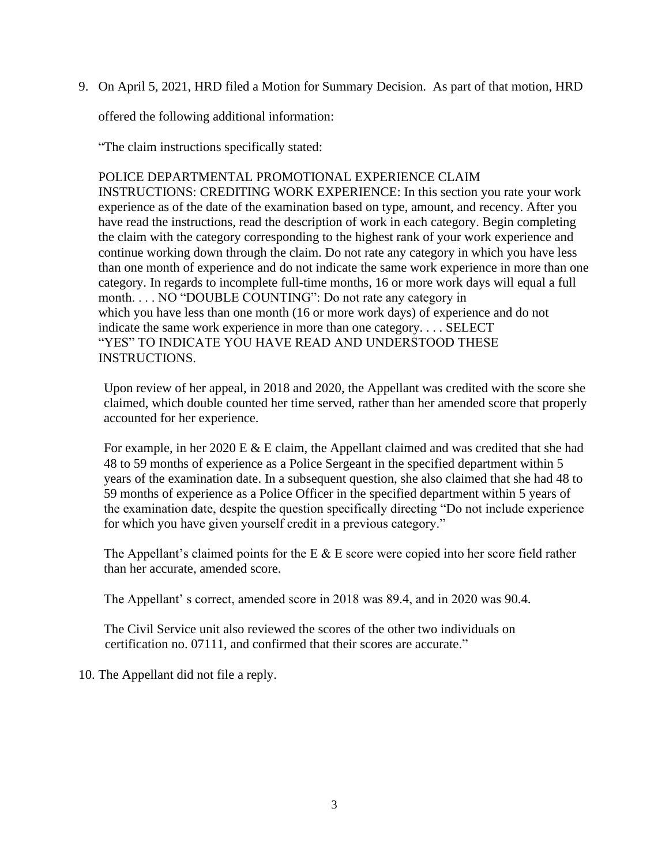9. On April 5, 2021, HRD filed a Motion for Summary Decision. As part of that motion, HRD

offered the following additional information:

"The claim instructions specifically stated:

POLICE DEPARTMENTAL PROMOTIONAL EXPERIENCE CLAIM INSTRUCTIONS: CREDITING WORK EXPERIENCE: In this section you rate your work experience as of the date of the examination based on type, amount, and recency. After you have read the instructions, read the description of work in each category. Begin completing the claim with the category corresponding to the highest rank of your work experience and continue working down through the claim. Do not rate any category in which you have less than one month of experience and do not indicate the same work experience in more than one category. In regards to incomplete full-time months, 16 or more work days will equal a full month. . . . NO "DOUBLE COUNTING": Do not rate any category in which you have less than one month (16 or more work days) of experience and do not indicate the same work experience in more than one category. . . . SELECT "YES" TO INDICATE YOU HAVE READ AND UNDERSTOOD THESE INSTRUCTIONS.

Upon review of her appeal, in 2018 and 2020, the Appellant was credited with the score she claimed, which double counted her time served, rather than her amended score that properly accounted for her experience.

For example, in her 2020 E & E claim, the Appellant claimed and was credited that she had 48 to 59 months of experience as a Police Sergeant in the specified department within 5 years of the examination date. In a subsequent question, she also claimed that she had 48 to 59 months of experience as a Police Officer in the specified department within 5 years of the examination date, despite the question specifically directing "Do not include experience for which you have given yourself credit in a previous category."

The Appellant's claimed points for the E  $\&$  E score were copied into her score field rather than her accurate, amended score.

The Appellant' s correct, amended score in 2018 was 89.4, and in 2020 was 90.4.

The Civil Service unit also reviewed the scores of the other two individuals on certification no. 07111, and confirmed that their scores are accurate."

10. The Appellant did not file a reply.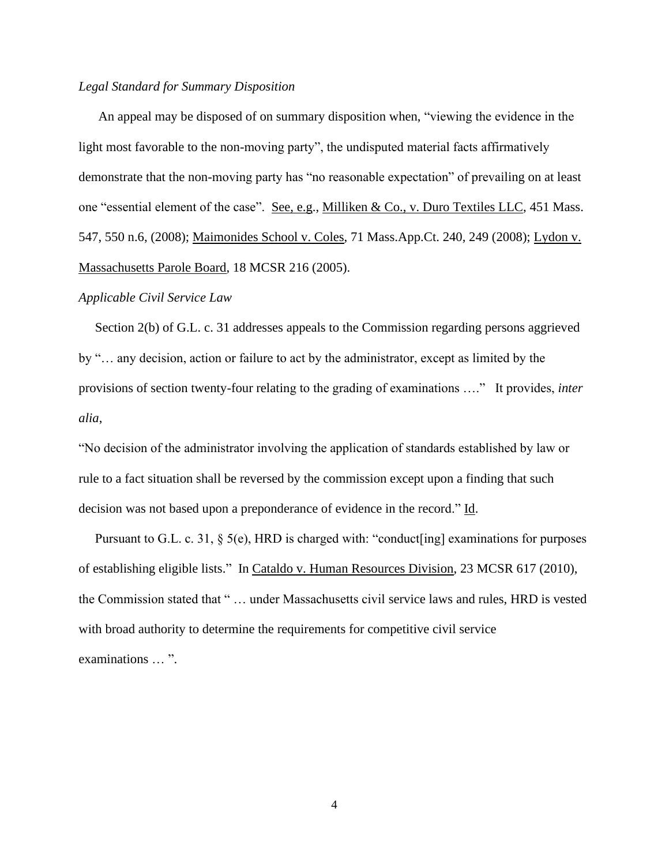### *Legal Standard for Summary Disposition*

An appeal may be disposed of on summary disposition when, "viewing the evidence in the light most favorable to the non-moving party", the undisputed material facts affirmatively demonstrate that the non-moving party has "no reasonable expectation" of prevailing on at least one "essential element of the case". See, e.g., Milliken & Co., v. Duro Textiles LLC, 451 Mass. 547, 550 n.6, (2008); Maimonides School v. Coles, 71 Mass.App.Ct. 240, 249 (2008); Lydon v. Massachusetts Parole Board, 18 MCSR 216 (2005).

#### *Applicable Civil Service Law*

 Section 2(b) of G.L. c. 31 addresses appeals to the Commission regarding persons aggrieved by "… any decision, action or failure to act by the administrator, except as limited by the provisions of section twenty-four relating to the grading of examinations …." It provides, *inter alia*,

"No decision of the administrator involving the application of standards established by law or rule to a fact situation shall be reversed by the commission except upon a finding that such decision was not based upon a preponderance of evidence in the record." Id.

Pursuant to G.L. c. 31, § 5(e), HRD is charged with: "conduct[ing] examinations for purposes of establishing eligible lists." In Cataldo v. Human Resources Division, 23 MCSR 617 (2010), the Commission stated that " … under Massachusetts civil service laws and rules, HRD is vested with broad authority to determine the requirements for competitive civil service examinations … ".